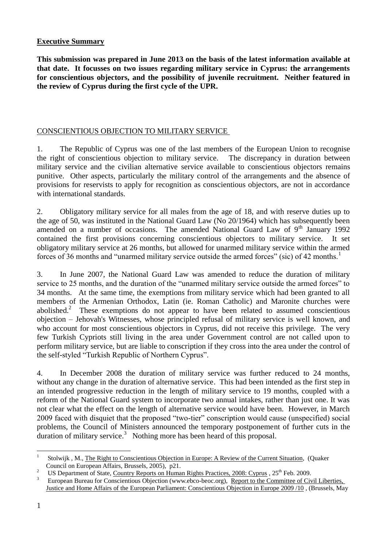## **Executive Summary**

**This submission was prepared in June 2013 on the basis of the latest information available at that date. It focusses on two issues regarding military service in Cyprus: the arrangements for conscientious objectors, and the possibility of juvenile recruitment. Neither featured in the review of Cyprus during the first cycle of the UPR.**

## CONSCIENTIOUS OBJECTION TO MILITARY SERVICE

1. The Republic of Cyprus was one of the last members of the European Union to recognise the right of conscientious objection to military service. The discrepancy in duration between military service and the civilian alternative service available to conscientious objectors remains punitive. Other aspects, particularly the military control of the arrangements and the absence of provisions for reservists to apply for recognition as conscientious objectors, are not in accordance with international standards.

2. Obligatory military service for all males from the age of 18, and with reserve duties up to the age of 50, was instituted in the National Guard Law (No 20/1964) which has subsequently been amended on a number of occasions. The amended National Guard Law of  $9<sup>th</sup>$  January 1992 contained the first provisions concerning conscientious objectors to military service. It set obligatory military service at 26 months, but allowed for unarmed military service within the armed forces of 36 months and "unarmed military service outside the armed forces" (sic) of 42 months.<sup>1</sup>

3. In June 2007, the National Guard Law was amended to reduce the duration of military service to 25 months, and the duration of the "unarmed military service outside the armed forces" to 34 months. At the same time, the exemptions from military service which had been granted to all members of the Armenian Orthodox, Latin (ie. Roman Catholic) and Maronite churches were abolished.<sup>2</sup> These exemptions do not appear to have been related to assumed conscientious objection – Jehovah's Witnesses, whose principled refusal of military service is well known, and who account for most conscientious objectors in Cyprus, did not receive this privilege. The very few Turkish Cypriots still living in the area under Government control are not called upon to perform military service, but are liable to conscription if they cross into the area under the control of the self-styled "Turkish Republic of Northern Cyprus".

4. In December 2008 the duration of military service was further reduced to 24 months, without any change in the duration of alternative service. This had been intended as the first step in an intended progressive reduction in the length of military service to 19 months, coupled with a reform of the National Guard system to incorporate two annual intakes, rather than just one. It was not clear what the effect on the length of alternative service would have been. However, in March 2009 faced with disquiet that the proposed "two-tier" conscription would cause (unspecified) social problems, the Council of Ministers announced the temporary postponement of further cuts in the duration of military service. $3$  Nothing more has been heard of this proposal.

 $\overline{a}$ 

<sup>1</sup> Stolwijk , M., The Right to Conscientious Objection in Europe: A Review of the Current Situation, (Quaker Council on European Affairs, Brussels, 2005), p21.

<sup>&</sup>lt;sup>2</sup> US Department of State, Country Reports on Human Rights Practices, 2008: Cyprus , 25<sup>th</sup> Feb. 2009.

<sup>3</sup> European Bureau for Conscientious Objection (www.ebco-beoc.org), Report to the Committee of Civil Liberties, Justice and Home Affairs of the European Parliament: Conscientious Objection in Europe 2009 /10 , (Brussels, May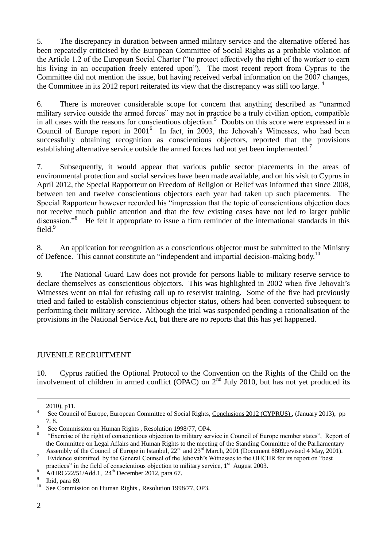5. The discrepancy in duration between armed military service and the alternative offered has been repeatedly criticised by the European Committee of Social Rights as a probable violation of the Article 1.2 of the European Social Charter ("to protect effectively the right of the worker to earn his living in an occupation freely entered upon"). The most recent report from Cyprus to the Committee did not mention the issue, but having received verbal information on the 2007 changes, the Committee in its 2012 report reiterated its view that the discrepancy was still too large.  $4$ 

6. There is moreover considerable scope for concern that anything described as "unarmed military service outside the armed forces" may not in practice be a truly civilian option, compatible in all cases with the reasons for conscientious objection.<sup>5</sup> Doubts on this score were expressed in a Council of Europe report in 2001<sup>6</sup> In fact, in 2003, the Jehovah's Witnesses, who had been successfully obtaining recognition as conscientious objectors, reported that the provisions establishing alternative service outside the armed forces had not yet been implemented.<sup>7</sup>

7. Subsequently, it would appear that various public sector placements in the areas of environmental protection and social services have been made available, and on his visit to Cyprus in April 2012, the Special Rapporteur on Freedom of Religion or Belief was informed that since 2008, between ten and twelve conscientious objectors each year had taken up such placements. The Special Rapporteur however recorded his "impression that the topic of conscientious objection does not receive much public attention and that the few existing cases have not led to larger public discussion."<sup>8</sup> He felt it appropriate to issue a firm reminder of the international standards in this field.<sup>9</sup>

8. An application for recognition as a conscientious objector must be submitted to the Ministry of Defence. This cannot constitute an "independent and impartial decision-making body.<sup>10</sup>

9. The National Guard Law does not provide for persons liable to military reserve service to declare themselves as conscientious objectors. This was highlighted in 2002 when five Jehovah's Witnesses went on trial for refusing call up to reservist training. Some of the five had previously tried and failed to establish conscientious objector status, others had been converted subsequent to performing their military service. Although the trial was suspended pending a rationalisation of the provisions in the National Service Act, but there are no reports that this has yet happened.

## JUVENILE RECRUITMENT

10. Cyprus ratified the Optional Protocol to the Convention on the Rights of the Child on the involvement of children in armed conflict (OPAC) on  $2<sup>nd</sup>$  July 2010, but has not yet produced its

<sup>2010),</sup> p11.

<sup>4</sup> See Council of Europe, European Committee of Social Rights, Conclusions 2012 (CYPRUS), (January 2013), pp 7, 8.

<sup>5</sup> See Commission on Human Rights , Resolution 1998/77, OP4.

<sup>&</sup>lt;sup>6</sup> "Exercise of the right of conscientious objection to military service in Council of Europe member states", Report of the Committee on Legal Affairs and Human Rights to the meeting of the Standing Committee of the Parliamentary Assembly of the Council of Europe in Istanbul,  $22<sup>nd</sup>$  and  $23<sup>rd</sup>$  March, 2001 (Document 8809,revised 4 May, 2001).

<sup>&</sup>lt;sup>7</sup> Evidence submitted by the General Counsel of the Jehovah's Witnesses to the OHCHR for its report on "best" practices" in the field of conscientious objection to military service,  $1<sup>st</sup>$  August 2003.

 $\mu$ <sup>8</sup> A/HRC/22/51/Add.1, 24<sup>th</sup> December 2012, para 67.

<sup>9</sup> Ibid, para 69.

<sup>&</sup>lt;sup>10</sup> See Commission on Human Rights, Resolution 1998/77, OP3.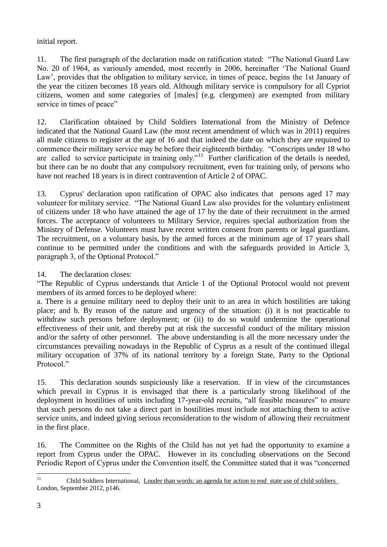initial report.

11. The first paragraph of the declaration made on ratification stated: "The National Guard Law No. 20 of 1964, as variously amended, most recently in 2006, hereinafter 'The National Guard Law', provides that the obligation to military service, in times of peace, begins the 1st January of the year the citizen becomes 18 years old. Although military service is compulsory for all Cypriot citizens, women and some categories of [males] (e.g. clergymen) are exempted from military service in times of peace"

12. Clarification obtained by Child Soldiers International from the Ministry of Defence indicated that the National Guard Law (the most recent amendment of which was in 2011) requires all male citizens to register at the age of 16 and that indeed the date on which they are required to commence their military service may be before their eighteenth birthday. "Conscripts under 18 who are called to service participate in training only."<sup>11</sup> Further clarification of the details is needed, but there can be no doubt that any compulsory recruitment, even for training only, of persons who have not reached 18 years is in direct contravention of Article 2 of OPAC.

13. Cyprus' declaration upon ratification of OPAC also indicates that persons aged 17 may volunteer for military service. "The National Guard Law also provides for the voluntary enlistment of citizens under 18 who have attained the age of 17 by the date of their recruitment in the armed forces. The acceptance of volunteers to Military Service, requires special authorization from the Ministry of Defense. Volunteers must have recent written consent from parents or legal guardians. The recruitment, on a voluntary basis, by the armed forces at the minimum age of 17 years shall continue to be permitted under the conditions and with the safeguards provided in Article 3, paragraph 3, of the Optional Protocol."

14. The declaration closes:

"The Republic of Cyprus understands that Article 1 of the Optional Protocol would not prevent members of its armed forces to be deployed where:

a. There is a genuine military need to deploy their unit to an area in which hostilities are taking place; and b. By reason of the nature and urgency of the situation: (i) it is not practicable to withdraw such persons before deployment; or (ii) to do so would undermine the operational effectiveness of their unit, and thereby put at risk the successful conduct of the military mission and/or the safety of other personnel. The above understanding is all the more necessary under the circumstances prevailing nowadays in the Republic of Cyprus as a result of the continued illegal military occupation of 37% of its national territory by a foreign State, Party to the Optional Protocol."

15. This declaration sounds suspiciously like a reservation. If in view of the circumstances which prevail in Cyprus it is envisaged that there is a particularly strong likelihood of the deployment in hostilities of units including 17-year-old recruits, "all feasible measures" to ensure that such persons do not take a direct part in hostilities must include not attaching them to active service units, and indeed giving serious reconsideration to the wisdom of allowing their recruitment in the first place.

16. The Committee on the Rights of the Child has not yet had the opportunity to examine a report from Cyprus under the OPAC. However in its concluding observations on the Second Periodic Report of Cyprus under the Convention itself, the Committee stated that it was "concerned

 11 Child Soldiers International, Louder than words: an agenda for action to end state use of child soldiers London, September 2012, p146.